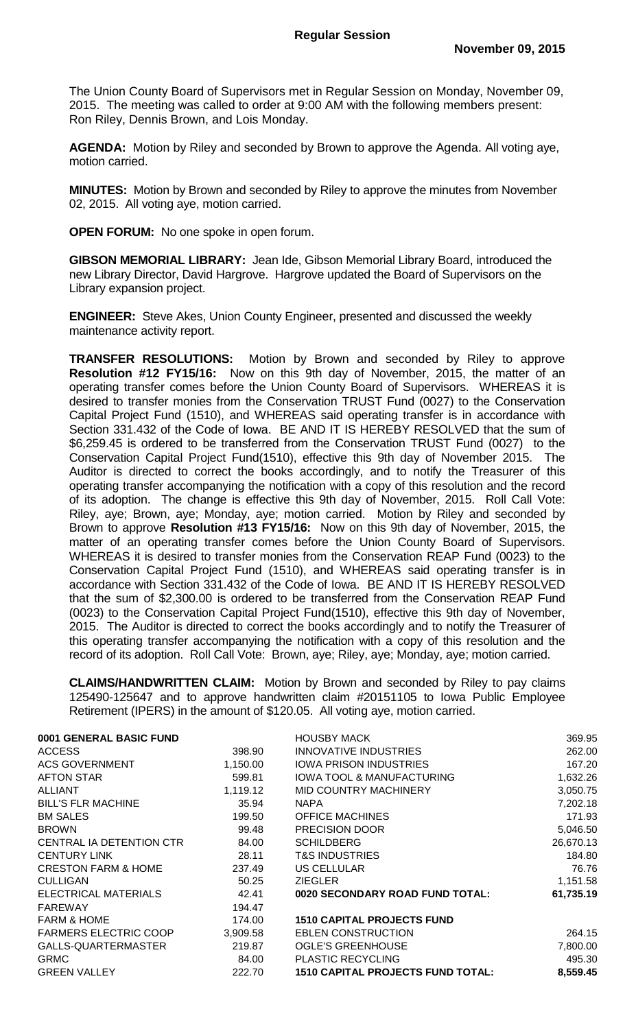The Union County Board of Supervisors met in Regular Session on Monday, November 09, 2015. The meeting was called to order at 9:00 AM with the following members present: Ron Riley, Dennis Brown, and Lois Monday.

**AGENDA:** Motion by Riley and seconded by Brown to approve the Agenda. All voting aye, motion carried.

**MINUTES:** Motion by Brown and seconded by Riley to approve the minutes from November 02, 2015. All voting aye, motion carried.

**OPEN FORUM:** No one spoke in open forum.

**GIBSON MEMORIAL LIBRARY:** Jean Ide, Gibson Memorial Library Board, introduced the new Library Director, David Hargrove. Hargrove updated the Board of Supervisors on the Library expansion project.

**ENGINEER:** Steve Akes, Union County Engineer, presented and discussed the weekly maintenance activity report.

**TRANSFER RESOLUTIONS:** Motion by Brown and seconded by Riley to approve **Resolution #12 FY15/16:** Now on this 9th day of November, 2015, the matter of an operating transfer comes before the Union County Board of Supervisors. WHEREAS it is desired to transfer monies from the Conservation TRUST Fund (0027) to the Conservation Capital Project Fund (1510), and WHEREAS said operating transfer is in accordance with Section 331.432 of the Code of Iowa. BE AND IT IS HEREBY RESOLVED that the sum of \$6,259.45 is ordered to be transferred from the Conservation TRUST Fund (0027) to the Conservation Capital Project Fund(1510), effective this 9th day of November 2015. The Auditor is directed to correct the books accordingly, and to notify the Treasurer of this operating transfer accompanying the notification with a copy of this resolution and the record of its adoption. The change is effective this 9th day of November, 2015. Roll Call Vote: Riley, aye; Brown, aye; Monday, aye; motion carried. Motion by Riley and seconded by Brown to approve **Resolution #13 FY15/16:** Now on this 9th day of November, 2015, the matter of an operating transfer comes before the Union County Board of Supervisors. WHEREAS it is desired to transfer monies from the Conservation REAP Fund (0023) to the Conservation Capital Project Fund (1510), and WHEREAS said operating transfer is in accordance with Section 331.432 of the Code of Iowa. BE AND IT IS HEREBY RESOLVED that the sum of \$2,300.00 is ordered to be transferred from the Conservation REAP Fund (0023) to the Conservation Capital Project Fund(1510), effective this 9th day of November, 2015. The Auditor is directed to correct the books accordingly and to notify the Treasurer of this operating transfer accompanying the notification with a copy of this resolution and the record of its adoption. Roll Call Vote: Brown, aye; Riley, aye; Monday, aye; motion carried.

**CLAIMS/HANDWRITTEN CLAIM:** Motion by Brown and seconded by Riley to pay claims 125490-125647 and to approve handwritten claim #20151105 to Iowa Public Employee Retirement (IPERS) in the amount of \$120.05. All voting aye, motion carried.

| 0001 GENERAL BASIC FUND        |          | <b>HOUSBY MACK</b>                       | 369.95    |
|--------------------------------|----------|------------------------------------------|-----------|
| <b>ACCESS</b>                  | 398.90   | <b>INNOVATIVE INDUSTRIES</b>             | 262.00    |
| <b>ACS GOVERNMENT</b>          | 1,150.00 | <b>IOWA PRISON INDUSTRIES</b>            | 167.20    |
| <b>AFTON STAR</b>              | 599.81   | <b>IOWA TOOL &amp; MANUFACTURING</b>     | 1,632.26  |
| <b>ALLIANT</b>                 | 1,119.12 | <b>MID COUNTRY MACHINERY</b>             | 3,050.75  |
| <b>BILL'S FLR MACHINE</b>      | 35.94    | <b>NAPA</b>                              | 7,202.18  |
| <b>BM SALES</b>                | 199.50   | <b>OFFICE MACHINES</b>                   | 171.93    |
| <b>BROWN</b>                   | 99.48    | PRECISION DOOR                           | 5,046.50  |
| CENTRAL IA DETENTION CTR       | 84.00    | <b>SCHILDBERG</b>                        | 26,670.13 |
| <b>CENTURY LINK</b>            | 28.11    | <b>T&amp;S INDUSTRIES</b>                | 184.80    |
| <b>CRESTON FARM &amp; HOME</b> | 237.49   | US CELLULAR                              | 76.76     |
| <b>CULLIGAN</b>                | 50.25    | <b>ZIEGLER</b>                           | 1,151.58  |
| ELECTRICAL MATERIALS           | 42.41    | 0020 SECONDARY ROAD FUND TOTAL:          | 61,735.19 |
| <b>FAREWAY</b>                 | 194.47   |                                          |           |
| <b>FARM &amp; HOME</b>         | 174.00   | <b>1510 CAPITAL PROJECTS FUND</b>        |           |
| <b>FARMERS ELECTRIC COOP</b>   | 3,909.58 | <b>EBLEN CONSTRUCTION</b>                | 264.15    |
| GALLS-QUARTERMASTER            | 219.87   | <b>OGLE'S GREENHOUSE</b>                 | 7,800.00  |
| <b>GRMC</b>                    | 84.00    | <b>PLASTIC RECYCLING</b>                 | 495.30    |
| <b>GREEN VALLEY</b>            | 222.70   | <b>1510 CAPITAL PROJECTS FUND TOTAL:</b> | 8,559.45  |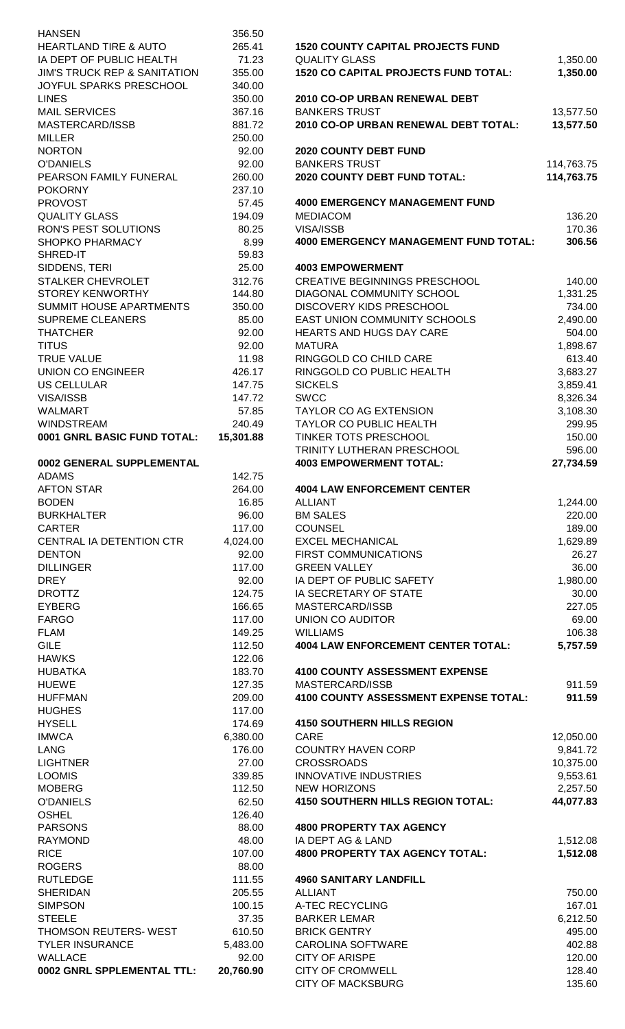| <b>HANSEN</b>                           | 356.50    |                                              |            |
|-----------------------------------------|-----------|----------------------------------------------|------------|
| <b>HEARTLAND TIRE &amp; AUTO</b>        | 265.41    | <b>1520 COUNTY CAPITAL PROJECTS FUND</b>     |            |
| IA DEPT OF PUBLIC HEALTH                | 71.23     | <b>QUALITY GLASS</b>                         | 1,350.00   |
| <b>JIM'S TRUCK REP &amp; SANITATION</b> | 355.00    | <b>1520 CO CAPITAL PROJECTS FUND TOTAL:</b>  | 1,350.00   |
| JOYFUL SPARKS PRESCHOOL                 | 340.00    |                                              |            |
| <b>LINES</b>                            | 350.00    | 2010 CO-OP URBAN RENEWAL DEBT                |            |
| <b>MAIL SERVICES</b>                    | 367.16    | <b>BANKERS TRUST</b>                         | 13,577.50  |
| MASTERCARD/ISSB                         | 881.72    | 2010 CO-OP URBAN RENEWAL DEBT TOTAL:         | 13,577.50  |
| <b>MILLER</b>                           | 250.00    |                                              |            |
| <b>NORTON</b>                           | 92.00     | 2020 COUNTY DEBT FUND                        |            |
| <b>O'DANIELS</b>                        | 92.00     | <b>BANKERS TRUST</b>                         | 114,763.75 |
| PEARSON FAMILY FUNERAL                  |           | 2020 COUNTY DEBT FUND TOTAL:                 | 114,763.75 |
|                                         | 260.00    |                                              |            |
| <b>POKORNY</b>                          | 237.10    |                                              |            |
| <b>PROVOST</b>                          | 57.45     | <b>4000 EMERGENCY MANAGEMENT FUND</b>        |            |
| <b>QUALITY GLASS</b>                    | 194.09    | <b>MEDIACOM</b>                              | 136.20     |
| RON'S PEST SOLUTIONS                    | 80.25     | VISA/ISSB                                    | 170.36     |
| SHOPKO PHARMACY                         | 8.99      | <b>4000 EMERGENCY MANAGEMENT FUND TOTAL:</b> | 306.56     |
| SHRED-IT                                | 59.83     |                                              |            |
| SIDDENS, TERI                           | 25.00     | <b>4003 EMPOWERMENT</b>                      |            |
| STALKER CHEVROLET                       | 312.76    | <b>CREATIVE BEGINNINGS PRESCHOOL</b>         | 140.00     |
| <b>STOREY KENWORTHY</b>                 | 144.80    | <b>DIAGONAL COMMUNITY SCHOOL</b>             | 1,331.25   |
| <b>SUMMIT HOUSE APARTMENTS</b>          | 350.00    | <b>DISCOVERY KIDS PRESCHOOL</b>              | 734.00     |
| <b>SUPREME CLEANERS</b>                 | 85.00     | <b>EAST UNION COMMUNITY SCHOOLS</b>          |            |
|                                         |           |                                              | 2,490.00   |
| <b>THATCHER</b>                         | 92.00     | HEARTS AND HUGS DAY CARE                     | 504.00     |
| <b>TITUS</b>                            | 92.00     | <b>MATURA</b>                                | 1,898.67   |
| <b>TRUE VALUE</b>                       | 11.98     | RINGGOLD CO CHILD CARE                       | 613.40     |
| <b>UNION CO ENGINEER</b>                | 426.17    | RINGGOLD CO PUBLIC HEALTH                    | 3,683.27   |
| <b>US CELLULAR</b>                      | 147.75    | <b>SICKELS</b>                               | 3,859.41   |
| VISA/ISSB                               | 147.72    | <b>SWCC</b>                                  | 8,326.34   |
| <b>WALMART</b>                          | 57.85     | <b>TAYLOR CO AG EXTENSION</b>                | 3,108.30   |
| <b>WINDSTREAM</b>                       | 240.49    | <b>TAYLOR CO PUBLIC HEALTH</b>               | 299.95     |
| 0001 GNRL BASIC FUND TOTAL:             | 15,301.88 | TINKER TOTS PRESCHOOL                        | 150.00     |
|                                         |           | TRINITY LUTHERAN PRESCHOOL                   | 596.00     |
|                                         |           | <b>4003 EMPOWERMENT TOTAL:</b>               |            |
| 0002 GENERAL SUPPLEMENTAL               |           |                                              | 27,734.59  |
| <b>ADAMS</b>                            | 142.75    |                                              |            |
| <b>AFTON STAR</b>                       | 264.00    | <b>4004 LAW ENFORCEMENT CENTER</b>           |            |
| <b>BODEN</b>                            | 16.85     | <b>ALLIANT</b>                               | 1,244.00   |
| <b>BURKHALTER</b>                       | 96.00     | <b>BM SALES</b>                              | 220.00     |
| <b>CARTER</b>                           | 117.00    | <b>COUNSEL</b>                               | 189.00     |
| CENTRAL IA DETENTION CTR                | 4,024.00  | <b>EXCEL MECHANICAL</b>                      | 1,629.89   |
| <b>DENTON</b>                           | 92.00     | FIRST COMMUNICATIONS                         | 26.27      |
| <b>DILLINGER</b>                        | 117.00    | <b>GREEN VALLEY</b>                          | 36.00      |
| <b>DREY</b>                             | 92.00     | IA DEPT OF PUBLIC SAFETY                     | 1,980.00   |
| <b>DROTTZ</b>                           | 124.75    | IA SECRETARY OF STATE                        | 30.00      |
|                                         |           | MASTERCARD/ISSB                              |            |
| <b>EYBERG</b>                           | 166.65    |                                              | 227.05     |
| <b>FARGO</b>                            | 117.00    | <b>UNION CO AUDITOR</b>                      | 69.00      |
| <b>FLAM</b>                             | 149.25    | <b>WILLIAMS</b>                              | 106.38     |
| <b>GILE</b>                             | 112.50    | <b>4004 LAW ENFORCEMENT CENTER TOTAL:</b>    | 5,757.59   |
| <b>HAWKS</b>                            | 122.06    |                                              |            |
| <b>HUBATKA</b>                          | 183.70    | <b>4100 COUNTY ASSESSMENT EXPENSE</b>        |            |
| <b>HUEWE</b>                            | 127.35    | MASTERCARD/ISSB                              | 911.59     |
| <b>HUFFMAN</b>                          | 209.00    | 4100 COUNTY ASSESSMENT EXPENSE TOTAL:        | 911.59     |
| <b>HUGHES</b>                           | 117.00    |                                              |            |
| <b>HYSELL</b>                           | 174.69    | <b>4150 SOUTHERN HILLS REGION</b>            |            |
| <b>IMWCA</b>                            | 6,380.00  | CARE                                         | 12,050.00  |
| <b>LANG</b>                             | 176.00    | <b>COUNTRY HAVEN CORP</b>                    |            |
| <b>LIGHTNER</b>                         | 27.00     | <b>CROSSROADS</b>                            | 9,841.72   |
|                                         |           |                                              | 10,375.00  |
| <b>LOOMIS</b>                           | 339.85    | <b>INNOVATIVE INDUSTRIES</b>                 | 9,553.61   |
| <b>MOBERG</b>                           | 112.50    | <b>NEW HORIZONS</b>                          | 2,257.50   |
| <b>O'DANIELS</b>                        | 62.50     | <b>4150 SOUTHERN HILLS REGION TOTAL:</b>     | 44,077.83  |
| <b>OSHEL</b>                            | 126.40    |                                              |            |
| <b>PARSONS</b>                          | 88.00     | <b>4800 PROPERTY TAX AGENCY</b>              |            |
| <b>RAYMOND</b>                          | 48.00     | IA DEPT AG & LAND                            | 1,512.08   |
| <b>RICE</b>                             | 107.00    | <b>4800 PROPERTY TAX AGENCY TOTAL:</b>       | 1,512.08   |
| <b>ROGERS</b>                           | 88.00     |                                              |            |
| <b>RUTLEDGE</b>                         | 111.55    | <b>4960 SANITARY LANDFILL</b>                |            |
| <b>SHERIDAN</b>                         | 205.55    | <b>ALLIANT</b>                               | 750.00     |
| <b>SIMPSON</b>                          | 100.15    | A-TEC RECYCLING                              | 167.01     |
| <b>STEELE</b>                           | 37.35     | <b>BARKER LEMAR</b>                          | 6,212.50   |
|                                         |           |                                              |            |
| THOMSON REUTERS- WEST                   | 610.50    | <b>BRICK GENTRY</b>                          | 495.00     |
| <b>TYLER INSURANCE</b>                  | 5,483.00  | <b>CAROLINA SOFTWARE</b>                     | 402.88     |
| WALLACE                                 | 92.00     | <b>CITY OF ARISPE</b>                        | 120.00     |
| 0002 GNRL SPPLEMENTAL TTL:              | 20,760.90 | CITY OF CROMWELL                             | 128.40     |
|                                         |           | <b>CITY OF MACKSBURG</b>                     | 135.60     |